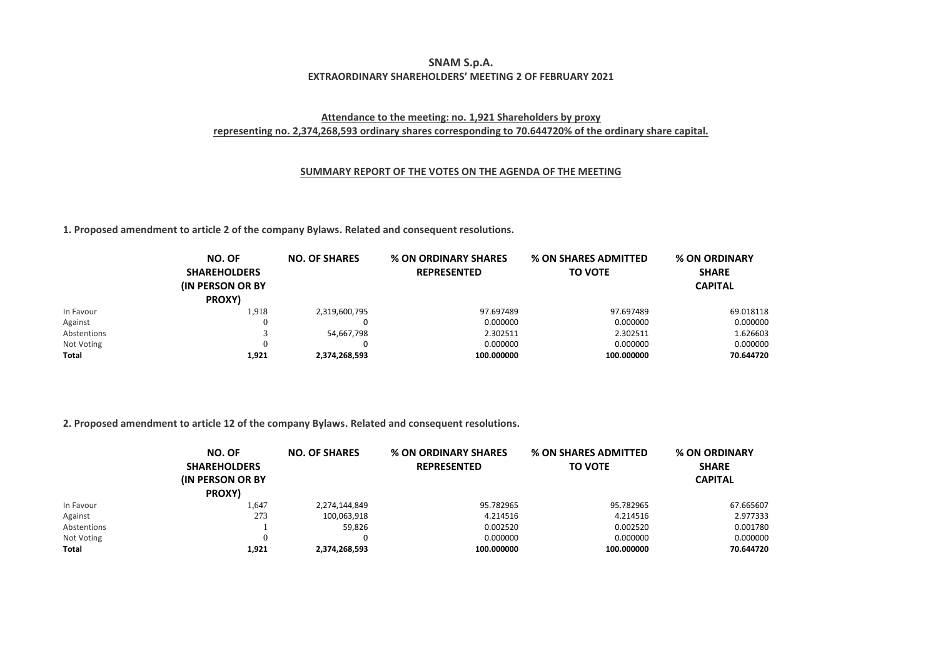## **SNAM S.p.A. EXTRAORDINARY SHAREHOLDERS' MEETING 2 OF FEBRUARY 2021**

## **Attendance to the meeting: no. 1,921 Shareholders by proxy representing no. 2,374,268,593 ordinary shares corresponding to 70.644720% of the ordinary share capital.**

## **SUMMARY REPORT OF THE VOTES ON THE AGENDA OF THE MEETING**

**1. Proposed amendment to article 2 of the company Bylaws. Related and consequent resolutions.**

|             | NO. OF<br><b>SHAREHOLDERS</b><br><b>(IN PERSON OR BY)</b><br>PROXY) | <b>NO. OF SHARES</b> | <b>% ON ORDINARY SHARES</b><br><b>REPRESENTED</b> | <b>% ON SHARES ADMITTED</b><br><b>TO VOTE</b> | % ON ORDINARY<br><b>SHARE</b><br><b>CAPITAL</b> |
|-------------|---------------------------------------------------------------------|----------------------|---------------------------------------------------|-----------------------------------------------|-------------------------------------------------|
| In Favour   | 1,918                                                               | 2,319,600,795        | 97.697489                                         | 97.697489                                     | 69.018118                                       |
| Against     |                                                                     |                      | 0.000000                                          | 0.000000                                      | 0.000000                                        |
| Abstentions |                                                                     | 54,667,798           | 2.302511                                          | 2.302511                                      | 1.626603                                        |
| Not Voting  |                                                                     |                      | 0.000000                                          | 0.000000                                      | 0.000000                                        |
| Total       | 1,921                                                               | 2,374,268,593        | 100.000000                                        | 100.000000                                    | 70.644720                                       |

## **2. Proposed amendment to article 12 of the company Bylaws. Related and consequent resolutions.**

|              | NO. OF<br><b>SHAREHOLDERS</b><br><b>(IN PERSON OR BY)</b><br>PROXY) | <b>NO. OF SHARES</b> | % ON ORDINARY SHARES<br><b>REPRESENTED</b> | <b>% ON SHARES ADMITTED</b><br><b>TO VOTE</b> | % ON ORDINARY<br><b>SHARE</b><br><b>CAPITAL</b> |
|--------------|---------------------------------------------------------------------|----------------------|--------------------------------------------|-----------------------------------------------|-------------------------------------------------|
|              |                                                                     |                      |                                            |                                               |                                                 |
| In Favour    | 1,647                                                               | 2,274,144,849        | 95.782965                                  | 95.782965                                     | 67.665607                                       |
| Against      | 273                                                                 | 100,063,918          | 4.214516                                   | 4.214516                                      | 2.977333                                        |
| Abstentions  |                                                                     | 59,826               | 0.002520                                   | 0.002520                                      | 0.001780                                        |
| Not Voting   | $\Omega$                                                            |                      | 0.000000                                   | 0.000000                                      | 0.000000                                        |
| <b>Total</b> | 1,921                                                               | 2,374,268,593        | 100.000000                                 | 100.000000                                    | 70.644720                                       |